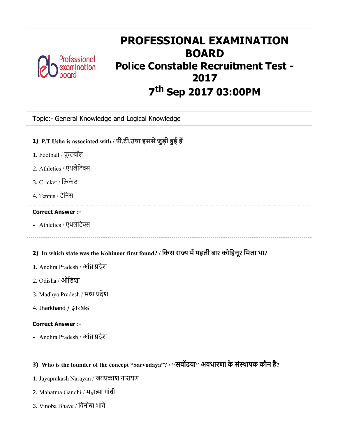

# PROFESSIONAL EXAMINATION BOARD Police Constable Recruitment Test - 2017 7<sup>th</sup> Sep 2017 03:00PM

|  | Topic:- General Knowledge and Logical Knowledge |  |  |
|--|-------------------------------------------------|--|--|
|  |                                                 |  |  |

- 1) P.T Usha is associated with / पी.टी.उषा इससेजुड़ी ई ह
- 1. Football / फुटबॉल
- 2. Athletics / एथलेिट
- 3. Cricket / िकेट
- 4. Tennis / टेिनस

# Correct Answer :-

• Athletics / एथलेटिक्स

# 2) In which state was the Kohinoor first found? / किस राज्य में पहली बार कोहिनूर मिला था?

- 1. Andhra Pradesh / आंध्र प्रदेश
- 2. Odisha / ओिडशा
- 3. Madhya Pradesh / मध्य प्रदेश
- 4. Jharkhand / झारखंड

### Correct Answer :-

• Andhra Pradesh / आंध्र प्रदेश

# 3) Who is the founder of the concept "Sarvodaya"? / ''सवदया'' अवधारणा के संथापक कौन है?

- 1. Jayaprakash Narayan / जयकाश नारायण
- 2. Mahatma Gandhi / महात्मा गांधी
- 3. Vinoba Bhave / िवनोबा भावे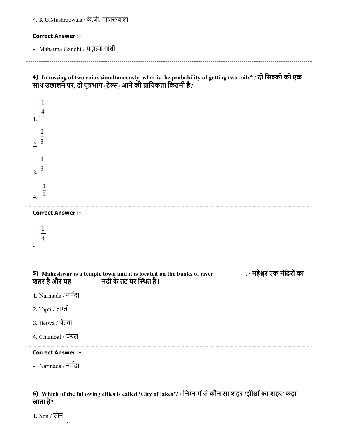| 4. K.G.Mushroowala / के.जी. माशरूवाला                                                                                                                                                                                                         |
|-----------------------------------------------------------------------------------------------------------------------------------------------------------------------------------------------------------------------------------------------|
| <b>Correct Answer :-</b>                                                                                                                                                                                                                      |
| • Mahatma Gandhi / महात्मा गांधी                                                                                                                                                                                                              |
| 4) In tossing of two coins simultaneously, what is the probability of getting two tails? / दो सिक्कों को एक<br>साथ उछालने पर, दो पृष्ठभाग (टेल्स) आने की प्रायिकता कितनी है?<br>$\mathbf{1}$<br>1.<br>$\frac{2}{3}$<br>2.<br>$\overline{3}$ . |
| $\overline{2}$<br>4.                                                                                                                                                                                                                          |
| <b>Correct Answer :-</b>                                                                                                                                                                                                                      |
| शहर है और यह _________ नदी के तट पर स्थित है।                                                                                                                                                                                                 |
| 1. Narmada / नर्मदा                                                                                                                                                                                                                           |
| 2. Tapti / ताप्ती                                                                                                                                                                                                                             |
| 3. Betwa / बेतवा                                                                                                                                                                                                                              |
| 4. Chambal / चंबल                                                                                                                                                                                                                             |
| <b>Correct Answer :-</b>                                                                                                                                                                                                                      |
| • Narmada / नर्मदा                                                                                                                                                                                                                            |
| 6) Which of the following cities is called 'City of lakes'? / निम्न में से कौन सा शहर 'झीलों का शहर' कहा<br>जाता है?                                                                                                                          |

1. Son / सोन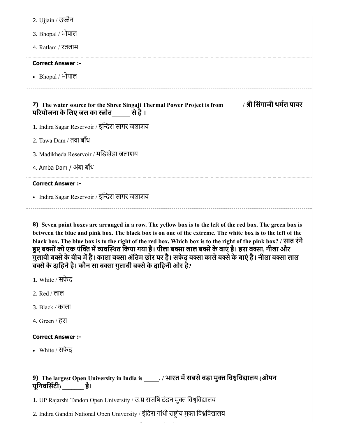|  | 2. Ujjain / उज्जन |
|--|-------------------|
|  |                   |

- 3. Bhopal / भोपाल
- 4. Ratlam / रतलाम

### Correct Answer :-

Bhopal / भोपाल

7) The water source for the Shree Singaji Thermal Power Project is from\_\_\_\_\_\_ / श्री सिंगाजी थर्मेल पावर

- परियोजना के लिए जल का स्त्रोत ज्या से है ।
- 1. Indira Sagar Reservoir / इन्दिरा सागर जलाशय
- 2. Tawa Dam / तवा बाँध
- 3. Madikheda Reservoir / मिडखेड़ा जलाशय
- 4. Amba Dam / अंबा बाँध

### Correct Answer :-

• Indira Sagar Reservoir / इन्दिरा सागर जलाशय

8) Seven paint boxes are arranged in a row. The yellow box is to the left of the red box. The green box is between the blue and pink box. The black box is on one of the extreme. The white box is to the left of the black box. The blue box is to the right of the red box. Which box is to the right of the pink box? / सात रंगे हुए बक्सों को एक पंक्ति में व्यवस्थित किया गया है। पीला बक्सा लाल बक्से के बाएं है। हरा बक्सा, नीला और गुलाबी बक्से के बीच में है। काला बक्सा अंतिम छोर पर है। सफेद बक्सा काले बक्से के बाएं है। नीला बक्सा लाल बक्से के दाहिने है। कौन सा बक्सा गुलाबी बक्से के दाहिनी ओर है?

- 1. White / सफेद
- 2. Red / लाल
- 3. Black / काला
- 4. Green / हरा

### Correct Answer :-

White / सफेद

# 9) The largest Open University in India is \_\_\_\_\_\_. / भारत में सबसे बड़ा मुक्त विश्वविद्यालय (ओपन यूनिवर्सिटी) है।

1. UP Rajarshi Tandon Open University / उ.प्र राजर्षि टंडन मुक्त विश्वविद्यालय

2. Indira Gandhi National Open University / इंदिरा गांधी राष्ट्रीय मुक्त विश्वविद्यालय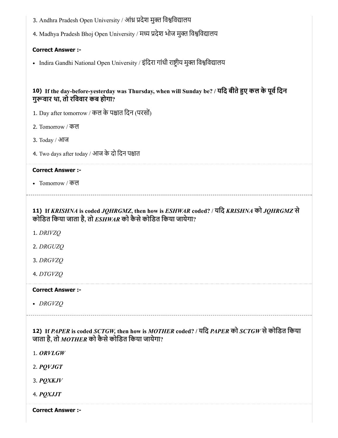| 3. Andhra Pradesh Open University / आंध्र प्रदेश मुक्त विश्वविद्यालय                                                                                      |
|-----------------------------------------------------------------------------------------------------------------------------------------------------------|
| 4. Madhya Pradesh Bhoj Open University / मध्य प्रदेश भोज मुक्त विश्वविद्यालय                                                                              |
| <b>Correct Answer :-</b>                                                                                                                                  |
| • Indira Gandhi National Open University / इंदिरा गांधी राष्ट्रीय मुक्त विश्वविद्यालय                                                                     |
|                                                                                                                                                           |
| 10) If the day-before-yesterday was Thursday, when will Sunday be? / यदि बीते हुए कल के पूर्व दिन<br>गुरूवार था, तो रविवार कब होगा?                       |
| 1. Day after tomorrow / कल के पश्चात दिन (परसों)                                                                                                          |
| 2. Tomorrow / कल                                                                                                                                          |
| 3. Today / आज                                                                                                                                             |
| 4. Two days after today / आज के दो दिन पश्चात                                                                                                             |
| <b>Correct Answer :-</b>                                                                                                                                  |
| • Tomorrow / कल                                                                                                                                           |
| 11) If KRISHNA is coded JQHRGMZ, then how is ESHWAR coded? / यदि KRISHNA को JQHRGMZ से<br>कोडित किया जाता है, तो $\it{ESHWAR}$ को कैसे कोडित किया जायेगा? |
| 1. DRIVZQ                                                                                                                                                 |
| 2. DRGUZQ                                                                                                                                                 |
| 3. DRGVZQ                                                                                                                                                 |
| 4. DTGVZQ                                                                                                                                                 |
| <b>Correct Answer:-</b>                                                                                                                                   |
| • DRGVZQ                                                                                                                                                  |
| 12) If PAPER is coded SCTGW, then how is MOTHER coded? / यदि PAPER को SCTGW से कोडित किया<br>जाता है, तो MOTHER को कैसे कोडित किया जायेगा?                |

1. *ORVLGW*

2. *PQVJGT*

3. *PQXKJV*

4. *PQXJJT*

Correct Answer :-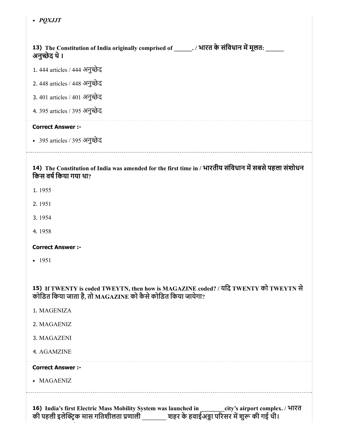*PQXJJT*

| 13) The Constitution of India originally comprised of _______. / भारत के संविधान में मूलत:<br>अनुच्छेद थे ।                    |
|--------------------------------------------------------------------------------------------------------------------------------|
| 1. 444 articles / 444 अनुच्छेद                                                                                                 |
| 2.448 articles / 448 अनुच्छेद                                                                                                  |
| 3.401 articles / 401 अनुच्छेद                                                                                                  |
| 4.395 articles / 395 अनुच्छेद                                                                                                  |
| <b>Correct Answer:-</b>                                                                                                        |
| • 395 articles / 395 अनुच्छेद                                                                                                  |
| 14) The Constitution of India was amended for the first time in / भारतीय संविधान में सबसे पहला संशोधन<br>किस वर्ष किया गया था? |

- 
- 1. 1955
- 2. 1951
- 3. 1954
- 4. 1958

### Correct Answer :-

 $-1951$ 

15) If TWENTY is coded TWEYTN, then how is MAGAZINE coded? / यिद TWENTY को TWEYTN से कोिडत िकया जाता है, तो MAGAZINE को कैसेकोिडत िकया जायेगा?

- 1. MAGENIZA
- 2. MAGAENIZ
- 3. MAGAZENI

4. AGAMZINE

### Correct Answer :-

MAGAENIZ

16) India's first Electric Mass Mobility System was launched in \_\_\_\_\_\_\_\_city's airport complex. / भारत की पहली इलेक्ट्रिक मास गतिशीलता प्रणाली \_\_\_\_\_\_\_\_ शहर के हवाईअड्डा परिसर में शुरू की गई थी।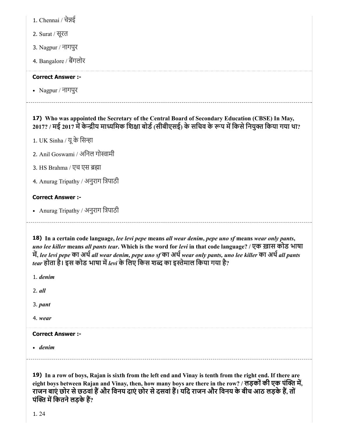1. Chennai / चेन्नई

2. Surat / सूरत

3. Nagpur / नागपुर

4. Bangalore / बैंगलोर

### Correct Answer :-

Nagpur / नागपुर

# 17) Who was appointed the Secretary of the Central Board of Secondary Education (CBSE) In May, 2017? / मई 2017 में केन्द्रीय माध्यमिक शिक्षा बोर्ड (सीबीएसई) के सचिव के रूप में किसे नियुक्त किया गया था?

1. UK Sinha / यू के सिन्हा

2. Anil Goswami / अनिल गोस्वामी

3. HS Brahma / एच एस ब्रह्मा

4. Anurag Tripathy / अनुराग िपाठी

### Correct Answer :-

• Anurag Tripathy / अनुराग त्रिपाठी

18) In a certain code language, *lee levi pepe* means *all wear denim*, *pepe uno sf* means *wear only pants*, *uno lee killer* means *all pants tear*. Which is the word for *levi* in that code language? / एक ख़ास कोड भाषा म, *lee levi pepe* का अथ*all wear denim, pepe uno sf* का अथ*wear only pants, uno lee killer* का अथ*all pants tear* होता है। इस कोड भाषा म*levi* के िलए िकस श का इेमाल िकया गया है?

1. *denim*

2. *all*

3. *pant*

4. *wear*

Correct Answer :-

*denim*

19) In a row of boys, Rajan is sixth from the left end and Vinay is tenth from the right end. If there are eight boys between Rajan and Vinay, then, how many boys are there in the row? / लड़कों की एक पंक्ति में, राजन बाएं छोर से छठवां हैं और विनय दाएं छोर से दसवां हैं। यदि राजन और विनय के बीच आठ लड़के हैं, तों पंक्ति में कितने लड़के हैं?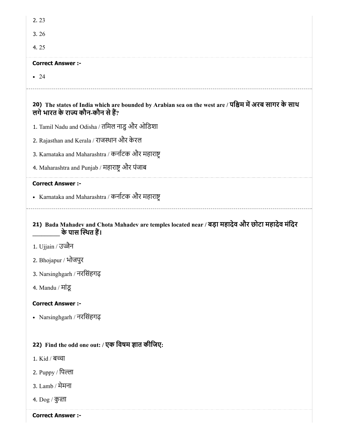| 2.23                                                                                                                                        |
|---------------------------------------------------------------------------------------------------------------------------------------------|
| 3.26                                                                                                                                        |
| 4.25                                                                                                                                        |
| <b>Correct Answer :-</b>                                                                                                                    |
| $\bullet$ 24                                                                                                                                |
| 20) The states of India which are bounded by Arabian sea on the west are / पश्चिम में अरब सागर के साथ<br>लगे भारत के राज्य कौन-कौन से हैं?  |
| 1. Tamil Nadu and Odisha / तमिल नाडु और ओडिशा                                                                                               |
| 2. Rajasthan and Kerala / राजस्थान और केरल                                                                                                  |
| 3. Karnataka and Maharashtra / कर्नाटक और महाराष्ट्                                                                                         |
| 4. Maharashtra and Punjab / महाराष्ट्र और पंजाब                                                                                             |
| <b>Correct Answer :-</b>                                                                                                                    |
| • Karnataka and Maharashtra / कर्नाटक और महाराष्ट्र                                                                                         |
|                                                                                                                                             |
| ____________________<br>21) Bada Mahadev and Chota Mahadev are temples located near / बड़ा महादेव और छोटा महादेव मंदिर<br>के पास स्थित हैं। |
| 1. Ujjain / उज्जैन                                                                                                                          |
| 2. Bhojapur / भोजपुर                                                                                                                        |
| 3. Narsinghgarh / नरसिंहगढ़                                                                                                                 |
| 4. Mandu / मांडू                                                                                                                            |
| <b>Correct Answer :-</b>                                                                                                                    |
| • Narsinghgarh / नरसिंहगढ़                                                                                                                  |
|                                                                                                                                             |
| 22) Find the odd one out: / एक विषम ज्ञात कीजिए:                                                                                            |
| 1. Kid / बच्चा                                                                                                                              |
| 2. Puppy / पिल्ला                                                                                                                           |

4. Dog / कुता

Correct Answer :-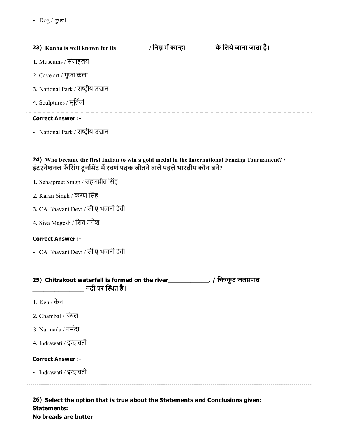|  | $\log$ / कुली |  |
|--|---------------|--|
|--|---------------|--|

| 23) Kanha is well known for its __________/ निम्न में कान्हा __________ के लिये जाना जाता है।                                                                                 |  |                       |  |
|-------------------------------------------------------------------------------------------------------------------------------------------------------------------------------|--|-----------------------|--|
| 1. Museums / संग्राहलय                                                                                                                                                        |  |                       |  |
| 2. Cave art / गुफा कला                                                                                                                                                        |  |                       |  |
| 3. National Park / राष्ट्रीय उद्यान                                                                                                                                           |  |                       |  |
| 4. Sculptures / मूर्तियां                                                                                                                                                     |  |                       |  |
| <b>Correct Answer :-</b>                                                                                                                                                      |  |                       |  |
| • National Park / राष्ट्रीय उद्यान                                                                                                                                            |  |                       |  |
| 24) Who became the first Indian to win a gold medal in the International Fencing Tournament? /<br>इंटरनेशनल फेंसिंग टूर्नामेंट में स्वर्ण पदक जीतने वाले पहले भारतीय कौन बने? |  |                       |  |
| 1. Sehajpreet Singh / सहजप्रीत सिंह                                                                                                                                           |  |                       |  |
| 2. Karan Singh / करण सिंह                                                                                                                                                     |  |                       |  |
| 3. CA Bhavani Devi / सी.ए भवानी देवी                                                                                                                                          |  |                       |  |
| 4. Siva Magesh / शिव मगेश                                                                                                                                                     |  |                       |  |
| <b>Correct Answer :-</b>                                                                                                                                                      |  |                       |  |
| • CA Bhavani Devi / सी.ए भवानी देवी                                                                                                                                           |  |                       |  |
| 25) Chitrakoot waterfall is formed on the river<br>नदी पर स्थित है।                                                                                                           |  | . / चित्रकूट जलप्रपात |  |
| 1. Ken / केन                                                                                                                                                                  |  |                       |  |
| 2. Chambal / चंबल                                                                                                                                                             |  |                       |  |
| 3. Narmada / नर्मदा                                                                                                                                                           |  |                       |  |
| 4. Indrawati / इन्द्रावती                                                                                                                                                     |  |                       |  |
| <b>Correct Answer :-</b>                                                                                                                                                      |  |                       |  |
| • Indrawati / इन्द्रावती                                                                                                                                                      |  |                       |  |
| 26) Select the option that is true about the Statements and Conclusions given:<br><b>Statements:</b>                                                                          |  |                       |  |

No breads are butter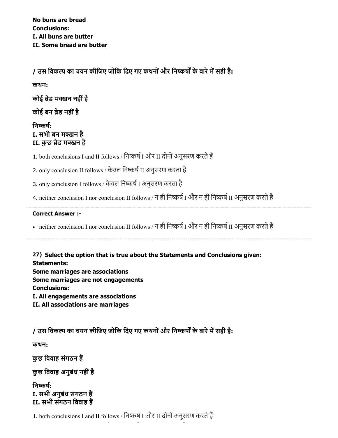No buns are bread Conclusions: I. All buns are butter II. Some bread are butter

/ उस विकल्प का चयन कीजिए जोकि दिए गए कथनों और निष्कर्षों के बारे में सही है:

कथन:

कोई ब्रेड मक्खन नहीं है

कोई बन ब्रेड नहीं है

# निष्कर्ष: I. सभी बन मक्खन है II. कुछ ब्रेड मक्खन है

1. both conclusions I and II follows / निष्कर्ष I और II दोनों अनुसरण करते हैं

2. only conclusion II follows / केवल निष्कर्ष II अनुसरण करता है

3. only conclusion I follows / केवल निष्कर्ष I अनुसरण करता है

4. neither conclusion I nor conclusion II follows / न ही निष्कर्ष I और न ही निष्कर्ष II अनुसरण करते हैं

### Correct Answer :-

• neither conclusion I nor conclusion II follows / न ही निष्कर्ष I और न ही निष्कर्ष II अनुसरण करते हैं

27) Select the option that is true about the Statements and Conclusions given: Statements: Some marriages are associations Some marriages are not engagements Conclusions: I. All engagements are associations II. All associations are marriages

/ उस विकल्प का चयन कीजिए जोकि दिए गए कथनों और निष्कर्षों के बारे में सही है:

कथन:

कुछ विवाह संगठन हैं

कुछ विवाह अनुबंध नहीं है

निष्कर्ष: I. सभी अनुबंध संगठन ह II. सभी संगठन िववाह ह

1. both conclusions I and II follows / निष्कर्ष I और II दोनों अनुसरण करते हैं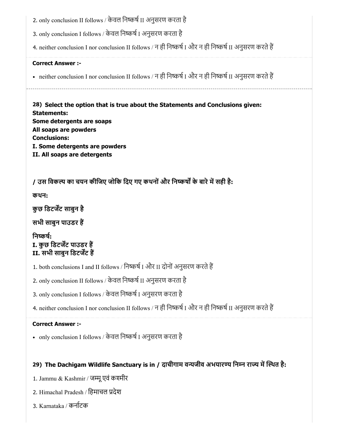2. only conclusion II follows / केवल निष्कर्ष II अनुसरण करता है

3. only conclusion I follows / केवल निष्कर्ष I अनुसरण करता है

4. neither conclusion I nor conclusion II follows / न ही निष्कर्ष I और न ही निष्कर्ष II अनुसरण करते हैं

### Correct Answer :-

• neither conclusion I nor conclusion II follows / न ही निष्कर्ष I और न ही निष्कर्ष II अनुसरण करते हैं

28) Select the option that is true about the Statements and Conclusions given: Statements: Some detergents are soaps All soaps are powders Conclusions: I. Some detergents are powders II. All soaps are detergents

/ उस विकल्प का चयन कीजिए जोकि दिए गए कथनों और निष्कर्षों के बारे में सही है:

कथन:

कुछ डिटर्जेंट साबुन है

सभी साबुन पाउडर ह

निष्कर्ष: I. कुछ डिटर्जेंट पाउडर हैं II. सभी साबुन डिटर्जेंट हैं

1. both conclusions I and II follows / निष्कर्ष I और II दोनों अनुसरण करते हैं

2. only conclusion II follows / केवल निष्कर्ष II अनुसरण करता है

3. only conclusion I follows / केवल निष्कर्ष I अनुसरण करता है

4. neither conclusion I nor conclusion II follows / न ही निष्कर्ष I और न ही निष्कर्ष II अनुसरण करते हैं

# Correct Answer :-

• only conclusion I follows / केवल निष्कर्ष I अनुसरण करता है

# 29) The Dachigam Wildlife Sanctuary is in / दाचीगाम वन्यजीव अभयारण्य निम्न राज्य में स्थित है:

- 1. Jammu & Kashmir / जमूएवं कमीर
- 2. Himachal Pradesh / िहमाचल देश
- 3. Karnataka / कनाटक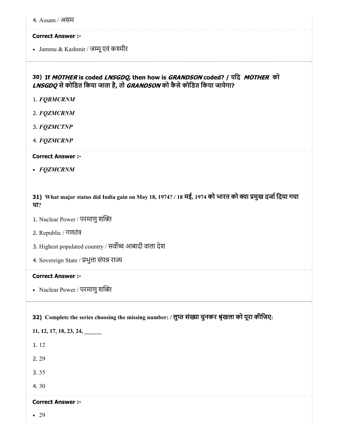| 4. Assam / असम                                                                                                                                                               |
|------------------------------------------------------------------------------------------------------------------------------------------------------------------------------|
| <b>Correct Answer :-</b>                                                                                                                                                     |
| • Jammu & Kashmir / जम्मू एवं कश्मीर                                                                                                                                         |
| 30) If MOTHER is coded LNSGDQ, then how is GRANDSON coded? / यदि MOTHER को<br>LNSGDQ से कोडित किया जाता है, तो GRANDSON को कैसे कोडित किया जायेगा?<br>1. FQBMCRNM            |
| 2. FQZMCRNM                                                                                                                                                                  |
| 3. FQZMCTNP                                                                                                                                                                  |
| 4. FQZMCRNP                                                                                                                                                                  |
| <b>Correct Answer :-</b>                                                                                                                                                     |
| • FQZMCRNM                                                                                                                                                                   |
| 31) What major status did India gain on May 18, 1974? / 18 मई, 1974 को भारत को क्या प्रमुख दर्जा दिया गया<br>था?<br>1. Nuclear Power / परमाणु शक्ति<br>2. Republic / गणतंत्र |
| 3. Highest populated country / सर्वोच्च आबादी वाला देश                                                                                                                       |
|                                                                                                                                                                              |
| 4. Sovereign State / प्रभुत्ता संपन्न राज्य                                                                                                                                  |
| <b>Correct Answer :-</b>                                                                                                                                                     |
| • Nuclear Power / परमाणु शक्ति                                                                                                                                               |
| 32) Complete the series choosing the missing number: / लुप्त संख्या चुनकर श्रृंखला को पूरा कीजिए:                                                                            |
| $11, 12, 17, 18, 23, 24, \underline{\hspace{1cm}}$                                                                                                                           |
| 1.12                                                                                                                                                                         |
| 2.29<br>3.35                                                                                                                                                                 |
| 4.30                                                                                                                                                                         |

### Correct Answer :-

• 29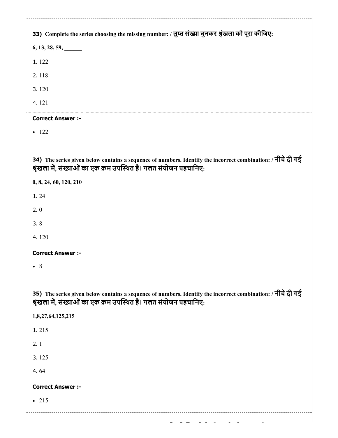| 33) Complete the series choosing the missing number: / लुप्त संख्या चुनकर श्रृंखला को पूरा कीजिए:                                                                                 |
|-----------------------------------------------------------------------------------------------------------------------------------------------------------------------------------|
| 6, 13, 28, 59,                                                                                                                                                                    |
| 1.122                                                                                                                                                                             |
| 2.118                                                                                                                                                                             |
| 3.120                                                                                                                                                                             |
| 4.121                                                                                                                                                                             |
| <b>Correct Answer :-</b>                                                                                                                                                          |
| $-122$                                                                                                                                                                            |
| 34) The series given below contains a sequence of numbers. Identify the incorrect combination: / नीचे दी गई<br>श्रृंखला में, संख्याओं का एक क्रम उपस्थित हैं। गलत संयोजन पहचानिए: |
| 0, 8, 24, 60, 120, 210                                                                                                                                                            |
| 1.24                                                                                                                                                                              |
| 2.0                                                                                                                                                                               |
| 3.8                                                                                                                                                                               |
| 4.120                                                                                                                                                                             |
| <b>Correct Answer :-</b>                                                                                                                                                          |
| $\bullet$ 8                                                                                                                                                                       |
| 35) The series given below contains a sequence of numbers. Identify the incorrect combination: / नीचे दी गई<br>श्रृंखला में, संख्याओं का एक क्रम उपस्थित हैं। गलत संयोजन पहचानिए: |
| 1,8,27,64,125,215                                                                                                                                                                 |
| 1.215                                                                                                                                                                             |
| 2.1                                                                                                                                                                               |
| 3.125                                                                                                                                                                             |
| 4.64                                                                                                                                                                              |
| <b>Correct Answer :-</b>                                                                                                                                                          |
| $-215$                                                                                                                                                                            |
|                                                                                                                                                                                   |
|                                                                                                                                                                                   |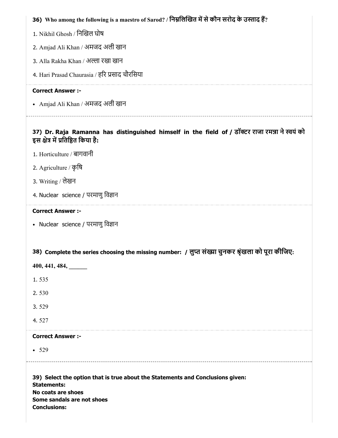| 36) Who among the following is a maestro of Sarod? / निम्नलिखित में से कौन सरोद के उस्ताद हैं?                                                                                  |
|---------------------------------------------------------------------------------------------------------------------------------------------------------------------------------|
| 1. Nikhil Ghosh / निखिल घोष                                                                                                                                                     |
| 2. Amjad Ali Khan / अमजद अली खान                                                                                                                                                |
| 3. Alla Rakha Khan / अल्ला रखा खान                                                                                                                                              |
| 4. Hari Prasad Chaurasia / हरि प्रसाद चौरसिया                                                                                                                                   |
| <b>Correct Answer :-</b>                                                                                                                                                        |
| • Amjad Ali Khan / अमजद अली खान                                                                                                                                                 |
| 37) Dr. Raja Ramanna has distinguished himself in the field of / डॉक्टर राजा रमन्ना ने स्वयं को<br>इस क्षेत्र में प्रतिष्ठित किया है:                                           |
| 1. Horticulture / बागवानी                                                                                                                                                       |
| 2. Agriculture / कृषि                                                                                                                                                           |
| 3. Writing / लेखन                                                                                                                                                               |
| 4. Nuclear science / परमाणु विज्ञान                                                                                                                                             |
| <b>Correct Answer :-</b>                                                                                                                                                        |
| • Nuclear science / परमाणु विज्ञान                                                                                                                                              |
|                                                                                                                                                                                 |
| 38) Complete the series choosing the missing number: / लुप्त संख्या चुनकर श्रृंखला को पूरा कीजिए:                                                                               |
| 400, 441, 484,                                                                                                                                                                  |
| 1.535                                                                                                                                                                           |
| 2.530                                                                                                                                                                           |
| 3.529                                                                                                                                                                           |
| 4.527                                                                                                                                                                           |
| <b>Correct Answer :-</b>                                                                                                                                                        |
| • 529                                                                                                                                                                           |
| 39) Select the option that is true about the Statements and Conclusions given:<br><b>Statements:</b><br>No coats are shoes<br>Some sandals are not shoes<br><b>Conclusions:</b> |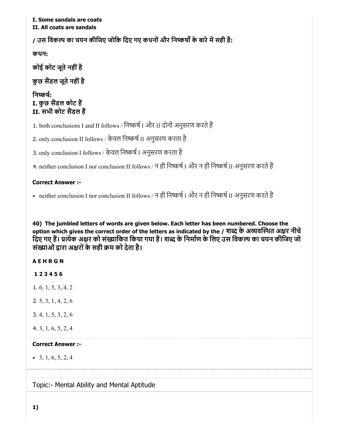### I. Some sandals are coats II. All coats are sandals

/ उस विकल्प का चयन कीजिए जोकि दिए गए कथनों और निष्कर्षों के बारे में सही है:

कथन:

कोई कोट जूते नहीं है

कुछ सैंडल जूते नहीं है

निष्कर्ष: I. कुछ सैंडल कोट हैं II. सभी कोट सैंडल हैं

1. both conclusions I and II follows / निष्कर्ष I और II दोनों अनुसरण करते हैं

2. only conclusion II follows / केवल निष्कर्ष II अनुसरण करता है

3. only conclusion I follows / केवल निष्कर्ष I अनुसरण करता है

4. neither conclusion I nor conclusion II follows / न ही निष्कर्ष I और न ही निष्कर्ष II अनुसरण करते हैं

# Correct Answer :-

• neither conclusion I nor conclusion II follows / न ही निष्कर्ष I और न ही निष्कर्ष II अनुसरण करते हैं

40) The jumbled letters of words are given below. Each letter has been numbered. Choose the option which gives the correct order of the letters as indicated by the / शब्द के अव्यवस्थित अक्षर नीचे दिए गए हैं। प्रत्येक अक्षर को संख्याकित किया गया है। शब्द के निर्माण के लिए उस विकल्प का चयन कीजिए जो संख्याओं द्वारा अक्षरों के सही क्रम को देता है।

A E H R G N

- 1 2 3 4 5 6
- 1. 6, 1, 5, 3, 4, 2
- 2. 5, 3, 1, 4, 2, 6
- 3. 4, 1, 5, 3, 2, 6
- 4. 3, 1, 6, 5, 2, 4

### Correct Answer :-

 $\bullet$  3, 1, 6, 5, 2, 4

Topic:- Mental Ability and Mental Aptitude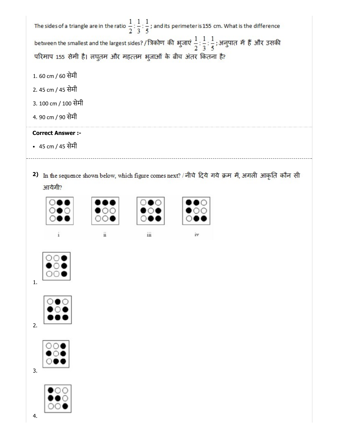The sides of a triangle are in the ratio  $\frac{1}{2}$ :  $\frac{1}{3}$ :  $\frac{1}{5}$ ; and its perimeter is 155 cm. What is the difference between the smallest and the largest sides? / त्रिकोण की भुजाएं  $\frac{1}{2}$ :  $\frac{1}{3}$ :  $\frac{1}{5}$ ; अनुपात में हैं और उसकी परिमाप 155 सेमी है। लघुतम और महत्तम भुजाओं के बीच अंतर कितना है? 1. 60 cm / 60 सेमी 2. 45 cm / 45 सेमी 3. 100 cm / 100 सेमी 4. 90 cm / 90 सेमी Correct Answer :- 45 cm / 45 सेमी 2) In the sequence shown below, which figure comes next? / नीचे दिये गये क्रम में, अगली आकृति कौन सी आयेगी?

ü

iii

iv

1.

2.

3.





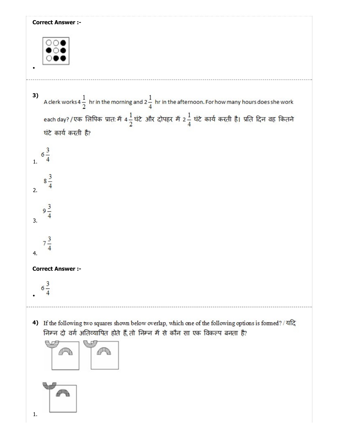| <b>Correct Answer :-</b>                                 |                                                                                                                                                                                       |
|----------------------------------------------------------|---------------------------------------------------------------------------------------------------------------------------------------------------------------------------------------|
|                                                          |                                                                                                                                                                                       |
| 3)                                                       | A clerk works 4 $\frac{1}{2}$ hr in the morning and 2 $\frac{1}{4}$ hr in the afternoon. For how many hours does she work                                                             |
| घंटे कार्य करती है?                                      | each day? / एक लिपिक प्रात: मैं 4 $\frac{1}{2}$ घंटे और दोपहर मैं 2 $\frac{1}{4}$ घंटे कार्य करती है। प्रति दिन वह कितने                                                              |
| $6\frac{3}{4}$                                           |                                                                                                                                                                                       |
| $\begin{array}{c} 3 \\ 8 \overline{4} \end{array}$<br>2. |                                                                                                                                                                                       |
| $9\frac{3}{4}$<br>3.                                     |                                                                                                                                                                                       |
| $7\frac{3}{4}$<br>4.                                     |                                                                                                                                                                                       |
| <b>Correct Answer :-</b>                                 |                                                                                                                                                                                       |
| $6\frac{3}{7}$                                           |                                                                                                                                                                                       |
| 4)                                                       | If the following two squares shown below overlap, which one of the following options is formed? / यदि<br>निम्न दो वर्ग अतिव्यापित होते हैं, तो निम्न में से कौन सा एक विकल्प बनता है? |
|                                                          |                                                                                                                                                                                       |
| 1.                                                       |                                                                                                                                                                                       |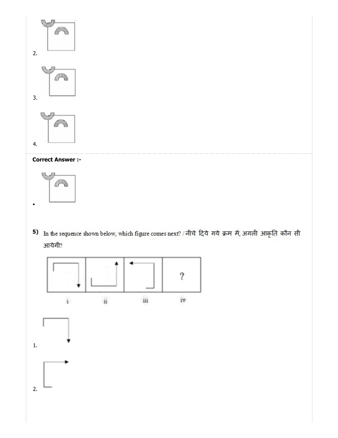

# Correct Answer :-



5) In the sequence shown below, which figure comes next? / नीचे दिये गये क्रम में, अगली आकृति कौन सी आयेगी?

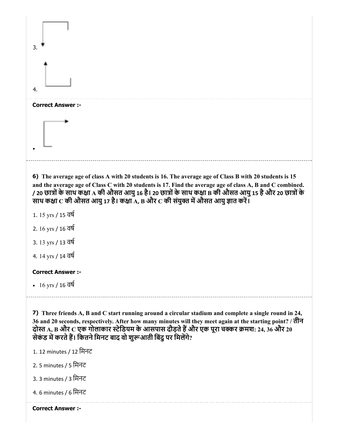| 3.                                                                                                                                                                                                                                                                                                                                                                                                                                       |
|------------------------------------------------------------------------------------------------------------------------------------------------------------------------------------------------------------------------------------------------------------------------------------------------------------------------------------------------------------------------------------------------------------------------------------------|
| 4.                                                                                                                                                                                                                                                                                                                                                                                                                                       |
| <b>Correct Answer :-</b>                                                                                                                                                                                                                                                                                                                                                                                                                 |
|                                                                                                                                                                                                                                                                                                                                                                                                                                          |
| 6) The average age of class A with 20 students is 16. The average age of Class B with 20 students is 15<br>and the average age of Class C with 20 students is 17. Find the average age of class A, B and C combined.<br>/ 20 छात्रों के साथ कक्षा A की औसत आयु 16 है। 20 छात्रों के साथ कक्षा B की औसत आयु 15 है और 20 छात्रों के<br>साथ कक्षा $\bf C$ की औसत आयु 17 है। कक्षा $\bf A$ , B और $\bf C$ की संयुक्त में औसत आयु ज्ञात करें। |
| 1. 15 yrs / 15 वर्ष                                                                                                                                                                                                                                                                                                                                                                                                                      |
| 2. 16 yrs / 16 वर्ष                                                                                                                                                                                                                                                                                                                                                                                                                      |
| 3. 13 yrs / 13 वर्ष                                                                                                                                                                                                                                                                                                                                                                                                                      |
| 4. 14 yrs / 14 वर्ष                                                                                                                                                                                                                                                                                                                                                                                                                      |
| <b>Correct Answer :-</b>                                                                                                                                                                                                                                                                                                                                                                                                                 |
| • 16 yrs / 16 $\overline{d}$                                                                                                                                                                                                                                                                                                                                                                                                             |
| 7) Three friends A, B and C start running around a circular stadium and complete a single round in 24,<br>36 and 20 seconds, respectively. After how many minutes will they meet again at the starting point? / तीन<br>दोस्त A, B और C एक गोलाकार स्टेडियम के आसपास दौड़ते हैं और एक पूरा चक्कर क्रमश: 24, 36 और 20<br>सेकंड में करते हैं। कितने मिनट बाद वो शुरूआती बिंदु पर मिलेंगे?                                                   |
| 1. 12 minutes / 12 मिनट                                                                                                                                                                                                                                                                                                                                                                                                                  |
| 2. 5 minutes / 5 मिनट                                                                                                                                                                                                                                                                                                                                                                                                                    |
| 3. 3 minutes / 3 मिनट                                                                                                                                                                                                                                                                                                                                                                                                                    |

4. 6 minutes / 6 िमनट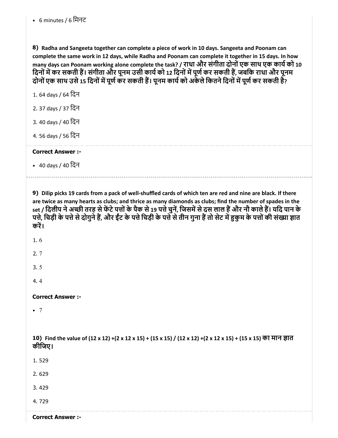8) Radha and Sangeeta together can complete a piece of work in 10 days. Sangeeta and Poonam can complete the same work in 12 days, while Radha and Poonam can complete it together in 15 days. In how many days can Poonam working alone complete the task? / राधा और संगीता दोनों एक साथ एक कार्य को 10 दिनों में कर सकती हैं। संगीता और पूनम उसी कार्य को 12 दिनों में पूर्ण कर सकती हैं, जबकि राधा और पूनम दोनों एक साथ उसे 15 दिनों में पूर्ण कर सकती हैं। पूनम कार्य को अकेले कितने दिनों में पूर्ण कर सकती हैं?

1. 64 days / 64 िदन

2. 37 days / 37 िदन

3. 40 days / 40 िदन

4. 56 days / 56 िदन

Correct Answer :-

• 40 days / 40 दिन

9) Dilip picks 19 cards from a pack of well-shuffled cards of which ten are red and nine are black. If there are twice as many hearts as clubs; and thrice as many diamonds as clubs; find the number of spades in the set / दिलीप ने अच्छी तरह से फेंटे पत्तों के पैक से 19 पत्ते चुनें, जिसमें से दस लाल हैं और नौ काले हैं। यदि पान के पत्ते, चिड़ी के पत्ते से दोगुने हैं, और ईंट के पत्ते चिड़ी के पत्ते से तीन गुना हैं तो सेट में हुकुम के पत्तों की संख्या ज्ञात करें।

1. 6

2. 7

3. 5

4. 4

Correct Answer :-

 $\bullet$  7

10) Find the value of (12 x 12) +(2 x 12 x 15) + (15 x 15) / (12 x 12) +(2 x 12 x 15) + (15 x 15) का मान ज्ञात कीिजए।

1. 529

2. 629

3. 429

4. 729

Correct Answer :-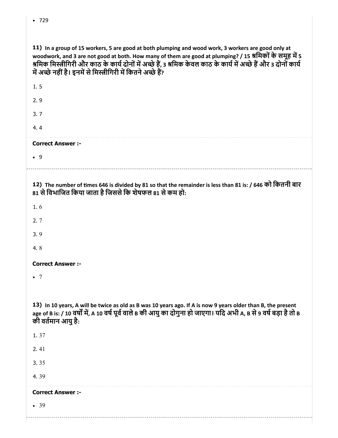| 11) In a group of 15 workers, 5 are good at both plumping and wood work, 3 workers are good only at<br>woodwork, and 3 are not good at both. How many of them are good at plumping? / 15 श्रमिकों के समूह में 5<br>श्रमिक मिस्त्रीगिरी और काठ के कार्य दोनों में अच्छे हैं, 3 श्रमिक केवल काठ के कार्य में अच्छे हैं और 3 दोनों कार्य<br>में अच्छे नहीं है। इनमें से मिस्त्रीगिरी में कितने अच्छे हैं? |
|--------------------------------------------------------------------------------------------------------------------------------------------------------------------------------------------------------------------------------------------------------------------------------------------------------------------------------------------------------------------------------------------------------|
| 1.5                                                                                                                                                                                                                                                                                                                                                                                                    |
| 2.9                                                                                                                                                                                                                                                                                                                                                                                                    |
| 3.7                                                                                                                                                                                                                                                                                                                                                                                                    |
| 4.4                                                                                                                                                                                                                                                                                                                                                                                                    |
| <b>Correct Answer :-</b>                                                                                                                                                                                                                                                                                                                                                                               |
| .9                                                                                                                                                                                                                                                                                                                                                                                                     |
|                                                                                                                                                                                                                                                                                                                                                                                                        |
| 12) The number of times 646 is divided by 81 so that the remainder is less than 81 is: / 646 को कितनी बार<br>81 से विभाजित किया जाता है जिससे कि शेषफल 81 से कम हो:                                                                                                                                                                                                                                    |
| 1.6                                                                                                                                                                                                                                                                                                                                                                                                    |
| 2.7                                                                                                                                                                                                                                                                                                                                                                                                    |
| 3.9                                                                                                                                                                                                                                                                                                                                                                                                    |
| 4.8                                                                                                                                                                                                                                                                                                                                                                                                    |
| <b>Correct Answer :-</b>                                                                                                                                                                                                                                                                                                                                                                               |
| $\bullet$ 7                                                                                                                                                                                                                                                                                                                                                                                            |
|                                                                                                                                                                                                                                                                                                                                                                                                        |
| 13) In 10 years, A will be twice as old as B was 10 years ago. If A is now 9 years older than B, the present<br>age of B is: / 10 वर्षों में, A 10 वर्ष पूर्व वाले B की आयु का दोगुना हो जाएगा। यदि अभी A, B से 9 वर्ष बड़ा है तो B<br>की वर्तमान आयु है:                                                                                                                                              |
| 1.37                                                                                                                                                                                                                                                                                                                                                                                                   |
| 2.41                                                                                                                                                                                                                                                                                                                                                                                                   |
| 3.35                                                                                                                                                                                                                                                                                                                                                                                                   |
| 4.39                                                                                                                                                                                                                                                                                                                                                                                                   |
| <b>Correct Answer :-</b>                                                                                                                                                                                                                                                                                                                                                                               |
| • 39                                                                                                                                                                                                                                                                                                                                                                                                   |
|                                                                                                                                                                                                                                                                                                                                                                                                        |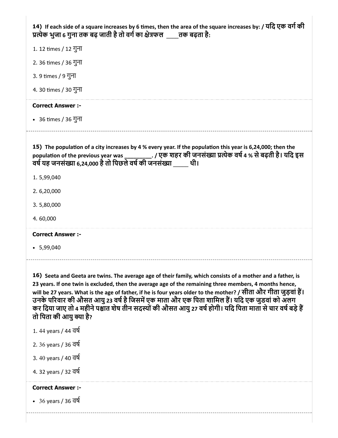|                                                   | प्रत्येक भुजा 6 गुना तक बढ़ जाती है तो वर्ग का क्षेत्रफल व्यान बढ़ता है:                                                                                                                                                                                                                                                                                                                                                                                                                                                                                |
|---------------------------------------------------|---------------------------------------------------------------------------------------------------------------------------------------------------------------------------------------------------------------------------------------------------------------------------------------------------------------------------------------------------------------------------------------------------------------------------------------------------------------------------------------------------------------------------------------------------------|
| 1. 12 times / 12 गुना                             |                                                                                                                                                                                                                                                                                                                                                                                                                                                                                                                                                         |
| 2. 36 times / 36 गुना                             |                                                                                                                                                                                                                                                                                                                                                                                                                                                                                                                                                         |
| 3. 9 times / 9 गुना                               |                                                                                                                                                                                                                                                                                                                                                                                                                                                                                                                                                         |
| 4. 30 times / 30 गुना                             |                                                                                                                                                                                                                                                                                                                                                                                                                                                                                                                                                         |
| <b>Correct Answer:-</b>                           |                                                                                                                                                                                                                                                                                                                                                                                                                                                                                                                                                         |
| • 36 times / 36 गुना                              |                                                                                                                                                                                                                                                                                                                                                                                                                                                                                                                                                         |
|                                                   | 15) The population of a city increases by 4 % every year. If the population this year is 6,24,000; then the<br>population of the previous year was ___________. / एक शहर की जनसंख्या प्रत्येक वर्ष 4 % से बढ़ती है। यदि इस<br>वर्ष यह जनसंख्या 6,24,000 है तो पिछले वर्ष की जनसंख्या _____ थी।                                                                                                                                                                                                                                                          |
| 1.5,99,040                                        |                                                                                                                                                                                                                                                                                                                                                                                                                                                                                                                                                         |
| 2.6,20,000                                        |                                                                                                                                                                                                                                                                                                                                                                                                                                                                                                                                                         |
| 3.5,80,000                                        |                                                                                                                                                                                                                                                                                                                                                                                                                                                                                                                                                         |
| 4.60,000                                          |                                                                                                                                                                                                                                                                                                                                                                                                                                                                                                                                                         |
| <b>Correct Answer :-</b>                          |                                                                                                                                                                                                                                                                                                                                                                                                                                                                                                                                                         |
| $\cdot$ 5,99,040                                  |                                                                                                                                                                                                                                                                                                                                                                                                                                                                                                                                                         |
| तो पिता की आयु क्या है?                           | 16) Seeta and Geeta are twins. The average age of their family, which consists of a mother and a father, is<br>23 years. If one twin is excluded, then the average age of the remaining three members, 4 months hence,<br>will be 27 years. What is the age of father, if he is four years older to the mother? / सीता और गीता जुड़वां हैं।<br>उनके परिवार की औसत आयु 23 वर्ष है जिसमें एक माता और एक पिता शामिल हैं। यदि एक जुडवां को अलग<br>कर दिया जाए तो 4 महीने पश्चात शेष तीन सदस्यों की औसत आयु 27 वर्ष होगी। यदि पिता माता से चार वर्ष बड़े हैं |
|                                                   |                                                                                                                                                                                                                                                                                                                                                                                                                                                                                                                                                         |
| 1.44 years / 44 বর্ষ                              |                                                                                                                                                                                                                                                                                                                                                                                                                                                                                                                                                         |
| 2. 36 years / 36 वर्ष                             |                                                                                                                                                                                                                                                                                                                                                                                                                                                                                                                                                         |
| 3.40 years / 40 वर्ष                              |                                                                                                                                                                                                                                                                                                                                                                                                                                                                                                                                                         |
|                                                   |                                                                                                                                                                                                                                                                                                                                                                                                                                                                                                                                                         |
| 4. 32 years / 32 वर्ष<br><b>Correct Answer :-</b> |                                                                                                                                                                                                                                                                                                                                                                                                                                                                                                                                                         |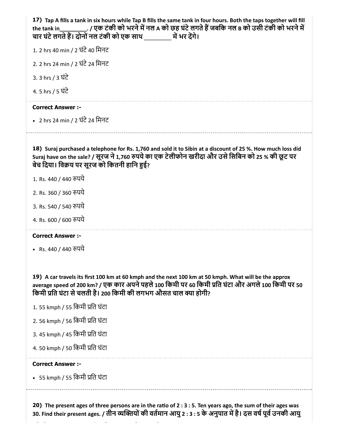17) Tap A fills a tank in six hours while Tap B fills the same tank in four hours. Both the taps together will fill 18) Suraj purchased a telephone for Rs. 1,760 and sold it to Sibin at a discount of 25 %. How much loss did the tank in \_\_\_\_\_\_\_\_\_\_. / एक टंकी को भरने में नल A को छह घंटे लगते हैं जबकि नल B को उसी टंकी को भरने में चार घंटेलगतेह। दोनोंनल टंकी को एक साथ \_\_\_\_\_\_\_\_\_ मभर दगे। 1. 2 hrs 40 min / 2 घंटे 40 मिनट 2. 2 hrs 24 min / 2 घंटे 24 मिनट 3. 3 hrs / 3 घंटे 4. 5 hrs / 5 घंटे Correct Answer :- • 2 hrs 24 min / 2 घंटे 24 मिनट Suraj have on the sale? / सूरज ने 1,760 रुपये का एक टेलीफोन खरीदा और उसे सिबिन को 25 % की छूट पर बेच दिया। विक्रय पर सूरज को कितनी हानि हुई? 1. Rs. 440 / 440 रुपये 2. Rs. 360 / 360 पये 3. Rs. 540 / 540 पये 4. Rs. 600 / 600 रुपये

### Correct Answer :-

• Rs. 440 / 440 रुपये

19) A car travels its first 100 km at 60 kmph and the next 100 km at 50 kmph. What will be the approx average speed of 200 km? / एक कार अपने पहले 100 किमी पर 60 किमी प्रति घंटा और अगले 100 किमी पर 50 किमी प्रति घंटा से चलती है। 200 किमी की लगभग औसत चाल क्या होगी?

- 1. 55 kmph / 55 किमी प्रति घंटा
- 2. 56 kmph / 56 िकमी ित घंटा
- 3. 45 kmph / 45 िकमी ित घंटा
- 4. 50 kmph / 50 िकमी ित घंटा

### Correct Answer :-

• 55 kmph / 55 किमी प्रति घंटा

20) The present ages of three persons are in the ratio of  $2:3:5$ . Ten years ago, the sum of their ages was 30. Find their present ages. / तीन व्यक्तियों की वर्तमान आयु 2 : 3 : 5 के अनुपात में है। दस वर्ष पूर्व उनकी आयु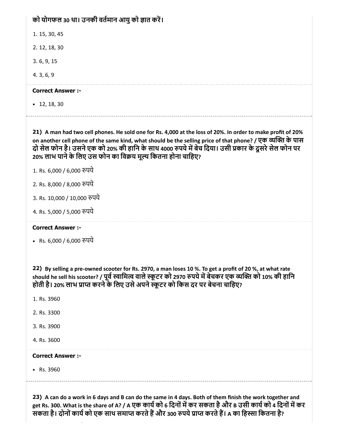# को योगफल 30 था। उनकी वर्तमान आयु को ज्ञात करें।

1. 15, 30, 45

2. 12, 18, 30

3. 6, 9, 15

4. 3, 6, 9

### Correct Answer :-

 $\cdot$  12, 18, 30

21) A man had two cell phones. He sold one for Rs. 4,000 at the loss of 20%. In order to make profit of 20% on another cell phone of the same kind, what should be the selling price of that phone? / एक व्यक्ति के पास दो सेल फोन है। उसने एक को 20% की हानि के साथ 4000 रुपये में बेच दिया। उसी प्रकार के दूसरे सेल फोन पर 20% लाभ पाने के लिए उस फोन का विक्रय मूल्य कितना होना चाहिए?

1. Rs. 6,000 / 6,000 रुपये

- 2. Rs. 8,000 / 8,000 पये
- 3. Rs. 10,000 / 10,000 पये
- 4. Rs. 5,000 / 5,000 पये

### Correct Answer :-

• Rs. 6,000 / 6,000 रुपये

22) By selling a pre-owned scooter for Rs. 2970, a man loses 10 %. To get a profit of 20 %, at what rate should he sell his scooter? / पूर्व स्वामित्व वाले स्कूटर को 2970 रुपये में बेचकर एक व्यक्ति को 10% की हानि होती है। 20% लाभ प्राप्त करने के लिए उसे अपने स्कूटर को किस दर पर बेचना चाहिए?

- 1. Rs. 3960
- 2. Rs. 3300
- 3. Rs. 3900
- 4. Rs. 3600

### Correct Answer :-

• Rs. 3960

23) A can do a work in 6 days and B can do the same in 4 days. Both of them finish the work together and get Rs. 300. What is the share of A? / A एक कार्य को 6 दिनों में कर सकता है और B उसी कार्य को 4 दिनों में कर सकता है। दोनों कार्य को एक साथ समाप्त करते हैं और 300 रुपये प्राप्त करते हैं। A का हिस्सा कितना है?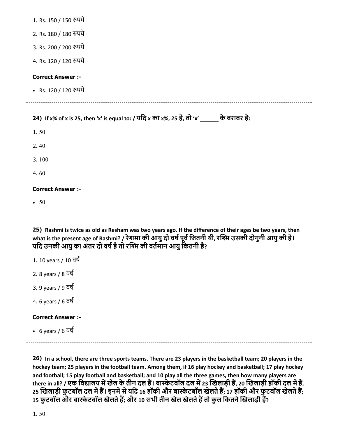| 1. Rs. 150 / 150 रुपये                                                                                                                                                                                                                                                                    |
|-------------------------------------------------------------------------------------------------------------------------------------------------------------------------------------------------------------------------------------------------------------------------------------------|
| 2. Rs. 180 / 180 रुपये                                                                                                                                                                                                                                                                    |
| 3. Rs. 200 / 200 रुपये                                                                                                                                                                                                                                                                    |
| 4. Rs. 120 / 120 रुपये                                                                                                                                                                                                                                                                    |
| <b>Correct Answer :-</b>                                                                                                                                                                                                                                                                  |
| • Rs. 120 / 120 रुपये                                                                                                                                                                                                                                                                     |
| 24) If x% of x is 25, then 'x' is equal to: / यदि x का x%, 25 है, तो 'x' ______ के बराबर है:                                                                                                                                                                                              |
| 1.50                                                                                                                                                                                                                                                                                      |
| 2.40                                                                                                                                                                                                                                                                                      |
| 3.100                                                                                                                                                                                                                                                                                     |
| 4.60                                                                                                                                                                                                                                                                                      |
| <b>Correct Answer :-</b>                                                                                                                                                                                                                                                                  |
|                                                                                                                                                                                                                                                                                           |
| $\bullet$ 50                                                                                                                                                                                                                                                                              |
| 25) Rashmi is twice as old as Resham was two years ago. If the difference of their ages be two years, then<br>what is the present age of Rashmi? / रेशमा की आयु दो वर्ष पूर्व जितनी थी, रश्मि उसकी दोगुनी आयु की है।<br>यदि उनकी आयु का अंतर दो वर्ष है तो रश्मि की वर्तमान आयु कितनी है? |
| 1. 10 years / 10 वर्ष                                                                                                                                                                                                                                                                     |
| 2. 8 years / 8 वर्ष                                                                                                                                                                                                                                                                       |
| 3. 9 years / 9 वर्ष                                                                                                                                                                                                                                                                       |
| 4. 6 years / 6 वर्ष                                                                                                                                                                                                                                                                       |
| <b>Correct Answer :-</b>                                                                                                                                                                                                                                                                  |
| • 6 years / 6 वर्ष                                                                                                                                                                                                                                                                        |

26) In a school, there are three sports teams. There are 23 players in the basketball team; 20 players in the hockey team; 25 players in the football team. Among them, if 16 play hockey and basketball; 17 play hockey and football; 15 play football and basketball; and 10 play all the three games, then how many players are there in all? / एक विद्यालय में खेल के तीन दल है। बास्केटबॉल दल में 23 खिलाड़ी है, 20 खिलाड़ी हॉकी दल में है, 25 खिलाड़ी फुटबॉल दल में है। इनमें से यदि 16 हॉकी और बास्केटबॉल खेलते है; 17 हॉकी और फुटबॉल खेलते है; 15 फुटबॉल और बास्केटबॉल खेलते है; और 10 सभी तीन खेल खेलते है तो कुल कितने खिलाड़ी है?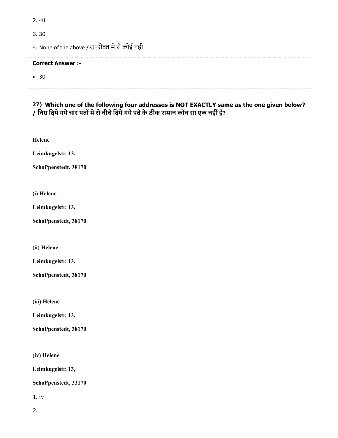2. 40

3. 30

4. None of the above / उपरोक्त में से कोई नहीं

### Correct Answer :-

• 30

27) Which one of the following four addresses is NOT EXACTLY same as the one given below? / निम्न दिये गये चार पतों में से नीचे दिये गये पते के ठीक समान कौन सा एक नहीं है?

Helene

Leimkugelstr. 13,

SchoPpenstedt, 38170

(i) Helene

Leimkugelstr. 13,

SchoPpenstedt, 38170

(ii) Helene

Leimkugelstr. 13,

SchoPpenstedt, 38170

(iii) Helene

Leimkugelstr. 13,

SchoPpenstedt, 38170

(iv) Helene

Leimkugelstr. 13,

SchoPpenstedt, 33170

1. iv

2. i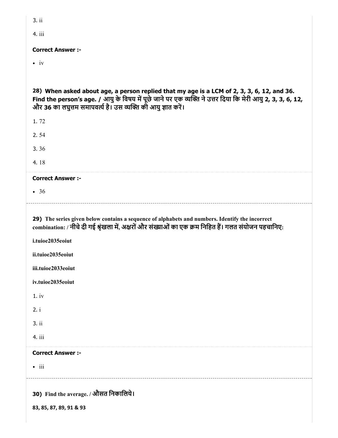| 3.ii                                                                                                                                                                                                                                                                      |
|---------------------------------------------------------------------------------------------------------------------------------------------------------------------------------------------------------------------------------------------------------------------------|
| 4. iii                                                                                                                                                                                                                                                                    |
| <b>Correct Answer:-</b>                                                                                                                                                                                                                                                   |
| $\bullet$ iv                                                                                                                                                                                                                                                              |
|                                                                                                                                                                                                                                                                           |
| 28) When asked about age, a person replied that my age is a LCM of 2, 3, 3, 6, 12, and 36.<br>Find the person's age. / आयु के विषय में पूछे जाने पर एक व्यक्ति ने उत्तर दिया कि मेरी आयु 2, 3, 3, 6, 12,<br>और 36 का लघुत्तम समापवर्त्य है। उस व्यक्ति की आयु ज्ञात करें। |
| 1.72                                                                                                                                                                                                                                                                      |
| 2.54                                                                                                                                                                                                                                                                      |
| 3.36                                                                                                                                                                                                                                                                      |
| 4.18                                                                                                                                                                                                                                                                      |
| <b>Correct Answer :-</b>                                                                                                                                                                                                                                                  |
| • 36                                                                                                                                                                                                                                                                      |
|                                                                                                                                                                                                                                                                           |
|                                                                                                                                                                                                                                                                           |
| 29) The series given below contains a sequence of alphabets and numbers. Identify the incorrect<br>combination: / नीचे दी गई श्रृंखला में, अक्षरों और संख्याओं का एक क्रम निहित हैं। गलत संयोजन पहचानिए:                                                                  |
| i.tuioe2035eoiut                                                                                                                                                                                                                                                          |
| ii.tuioe2035eoiut                                                                                                                                                                                                                                                         |
| iii.tuioe2033eoiut                                                                                                                                                                                                                                                        |
| iv.tuioe2035eoiut                                                                                                                                                                                                                                                         |
| 1.iv                                                                                                                                                                                                                                                                      |
| 2. i                                                                                                                                                                                                                                                                      |
| 3. ii                                                                                                                                                                                                                                                                     |
| 4. iii                                                                                                                                                                                                                                                                    |
| <b>Correct Answer :-</b>                                                                                                                                                                                                                                                  |
| $\bullet$ iii                                                                                                                                                                                                                                                             |
|                                                                                                                                                                                                                                                                           |
| 30) Find the average. / औसत निकालिये।                                                                                                                                                                                                                                     |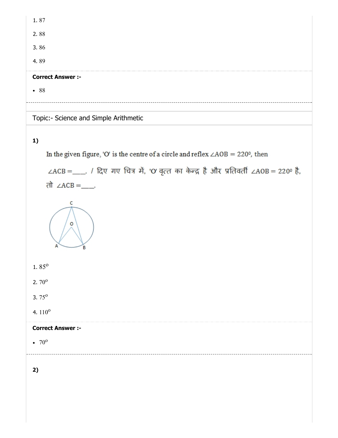| <b>Correct Answer :-</b> |  |  |  |
|--------------------------|--|--|--|
| 4.89                     |  |  |  |
| 3.86                     |  |  |  |
| 2.88                     |  |  |  |
| 1.87                     |  |  |  |

# Topic:- Science and Simple Arithmetic

# 1)

In the given figure, 'O' is the centre of a circle and reflex  $\angle AOB = 220^{\circ}$ , then

 $\angle ACB =$ \_\_\_. / दिए गए चित्र में, 'O' वृत्त का केन्द्र है और प्रतिवर्ती  $\angle AOB = 220^\circ$  है, तो ∠ $ACB =$ \_\_\_



1.  $85^\circ$ 

 $2.70^{\circ}$ 

 $3.75^{\circ}$ 

4.  $110^{\circ}$ 

### Correct Answer :-

70 o

2)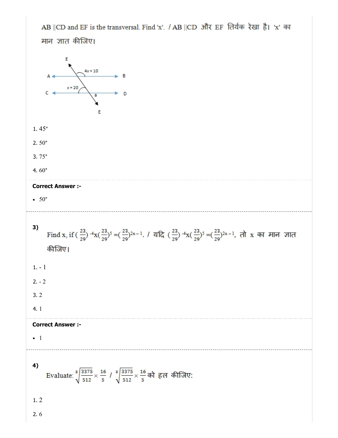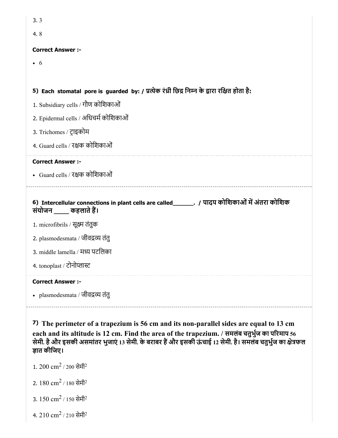| 3.3                                                                                                                        |
|----------------------------------------------------------------------------------------------------------------------------|
| 4.8                                                                                                                        |
| <b>Correct Answer :-</b>                                                                                                   |
| $\bullet$ 6                                                                                                                |
|                                                                                                                            |
| 5) Each stomatal pore is guarded by: / प्रत्येक रंध्री छिद्र निम्न के द्वारा रक्षित होता है:                               |
| 1. Subsidiary cells / गौण कोशिकाओं                                                                                         |
| 2. Epidermal cells / अधिचर्म कोशिकाओं                                                                                      |
| 3. Trichomes / ट्राइकोम                                                                                                    |
| 4. Guard cells / रक्षक कोशिकाओं                                                                                            |
| <b>Correct Answer :-</b>                                                                                                   |
| • Guard cells / रक्षक कोशिकाओं                                                                                             |
|                                                                                                                            |
| 6) Intercellular connections in plant cells are called________. / पादप कोशिकाओं में अंतरा कोशिक<br>संयोजन ____ कहलाते हैं। |
| 1. microfibrils / सूक्ष्म तंतुक                                                                                            |
| 2. plasmodesmata / जीवद्रव्य तंतु                                                                                          |
| 3. middle lamella / मध्य पटलिका                                                                                            |
| 4. tonoplast / टोनोप्लास्ट                                                                                                 |
| <b>Correct Answer :-</b>                                                                                                   |
| • plasmodesmata / जीवद्रव्य तंतु                                                                                           |

7) The perimeter of a trapezium is 56 cm and its non-parallel sides are equal to 13 cm each and its altitude is 12 cm. Find the area of the trapezium. / समलंब चतुभुज का परमाप 56 सेमी. है और इसकी असमांतर भुजाएं 13 सेमी. के बराबर हैं और इसकी ऊंचाई 12 सेमी. है। समलंब चतुर्भुज का क्षेत्रफल ज्ञात कीजिए।

- 1. 200  $\rm cm^2$  / 200 सेमी<sup>2</sup>
- 2.  $180 \text{ cm}^2$  /  $180 \text{ ÷H}^2$
- 3.  $150 \text{ cm}^2$  /  $150 \text{ }\hat{\text{H}}\hat{\text{H}}^2$
- 4.  $210\ {\rm cm}^2$  /  $210\ {\rm \ddot{e}H}^2$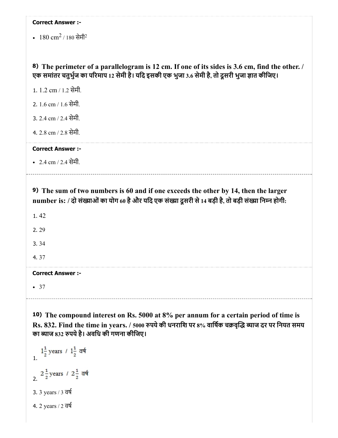|  | <b>Correct Answer :-</b> |  |
|--|--------------------------|--|
|--|--------------------------|--|

 $180 \text{ cm}^2$  /  $180 \text{ }\hat{\text{H}}\hat{\text{H}}^2$ 

## 8) The perimeter of a parallelogram is 12 cm. If one of its sides is 3.6 cm, find the other. / एक समांतर चतुर्भुज का परिमाप 12 सेमी है। यदि इसकी एक भुजा 3.6 सेमी है, तो दूसरी भुजा ज्ञात कीजिए।

1. 1.2 cm / 1.2 सेमी.

2. 1.6 cm / 1.6 सेमी.

3. 2.4 cm / 2.4 सेमी.

4. 2.8 cm / 2.8 सेमी.

Correct Answer :-

2.4 cm / 2.4 सेमी.

9) The sum of two numbers is 60 and if one exceeds the other by 14, then the larger number is: / दो संख्याओं का योग 60 है और यदि एक संख्या दूसरी से 14 बड़ी है, तो बड़ी संख्या निम्न होगी:

1. 42

2. 29

3. 34

4. 37

Correct Answer :-

 $-37$ 

10) The compound interest on Rs. 5000 at 8% per annum for a certain period of time is Rs. 832. Find the time in years. / 5000 रुपये की धनराशि पर 8% वार्षिक चक्रवृद्धि ब्याज दर पर नियत समय का याज 832 पयेहै। अविध की गणना कीिजए।

 $1\frac{1}{2}$  years /  $1\frac{1}{2}$  वर्ष 2.  $2\frac{1}{2}$  years /  $2\frac{1}{2}$  वर्ष 3. 3 years / 3 वष 4. 2 years / 2 वष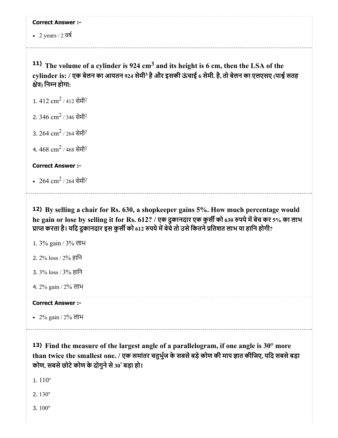• 2 years  $/2$  वर्ष

<sup>11)</sup> The volume of a cylinder is 924 cm<sup>3</sup> and its height is 6 cm, then the LSA of the cylinder is: / एक बेलन का आयतन 924 सेमी<sup>3</sup> है और इसकी ऊंचाई 6 सेमी. है, तो बेलन का एलएसए (पार्श्व सतह क्षेत्र) निम्न होगा:

1.  $412 \text{ cm}^2$  /  $412 \text{ ÷H}^2$ 

2.  $346 \text{ cm}^2$  / 346 सेमी $^2$ 

3.  $264 \text{ cm}^2$  / 264 सेमी $^2$ 

4.  $468 \text{ cm}^2$  /  $468 \text{  $\hat{R}}$ मी $^2$$ 

### Correct Answer :-

 $264 \text{ cm}^2$  / 264 सेमी $^2$ 

12) By selling a chair for Rs. 630, a shopkeeper gains 5%. How much percentage would he gain or lose by selling it for Rs. 612? / एक दुकानदार एक कुर्सी को 630 रुपये में बेच कर 5% का लाभ प्राप्त करता है। यदि दुकानदार इस कुर्सी को 612 रुपये में बेचे तो उसे कितने प्रतिशत लाभ या हानि होगी?

- 1. 3% gain / 3% लाभ
- 2. 2% loss / 2% हािन
- 3. 3% loss / 3% हािन
- 4. 2% gain / 2% लाभ

### Correct Answer :-

 $\cdot$  2% gain / 2% लाभ

13) Find the measure of the largest angle of a parallelogram, if one angle is 30° more than twice the smallest one. / एक समांतर चतुर्भुज के सबसे बड़े कोण की माप ज्ञात कीजिए, यदि सबसे बड़ा कोण, सबसे छोटे कोण के दोगुने से 30° बड़ा हो।

1. 110°

2. 130°

3. 100°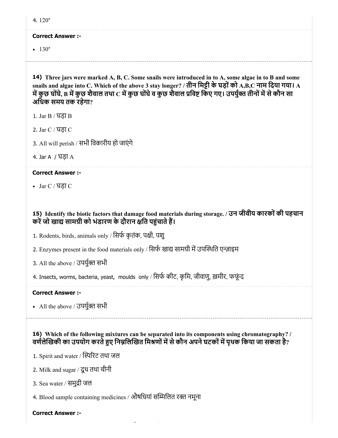#### Correct Answer :-

 $\cdot$  130 $\degree$ 

14) Three jars were marked A, B, C. Some snails were introduced in to A, some algae in to B and some snails and algae into C. Which of the above 3 stay longer? / तीन मिट्टी के घड़ों को A,B,C नाम दिया गया। A में कुछ घोंघे, B में कुछ शैवाल तथा C में कुछ घोंघे व कुछ शैवाल प्रविष्ट किए गए। उपर्युक्त तीनों में से कौन सा अिधक समय तक रहेगा?

- 1. Jar B / घड़ा B
- 2. Jar C / घड़ा C
- 3. All will perish / सभी िवकारीय हो जाएंगे
- 4. Jar A / घड़ा A

### Correct Answer :-

Jar C / घड़ा C

### 15) Identify the biotic factors that damage food materials during storage. / उन जीवीय कारकोंकी पहचान करें जो खाद्य सामग्री को भंडारण के दौरान क्षति पहुंचाते हैं।

- 1. Rodents, birds, animals only / सिर्फ कृतंक, पक्षी, पशु
- 2. Enzymes present in the food materials only / सिर्फ खाद्य सामग्री में उपस्थिति एन्ज़ाइम
- 3. All the above / उपर्युक्त सभी
- 4. Insects, worms, bacteria, yeast, moulds only / सिर्फ कीट, कृमि, जीवाणु, ख़मीर, फफूंद

### Correct Answer :-

• All the above / उपयुक्त सभी

# 16) Which of the following mixtures can be separated into its components using chromatography? / वर्णलेखिकी का उपयोग करते हुए निम्नलिखित मिश्रणों में से कौन अपने घटकों में पृथक किया जा सकता है?

- 1. Spirit and water / स्पिरिट तथा जल
- 2. Milk and sugar / दूध तथा चीनी
- 3. Sea water / समुद्री जल
- 4. Blood sample containing medicines / औषिधयां सिलत र नमूना

### Correct Answer :-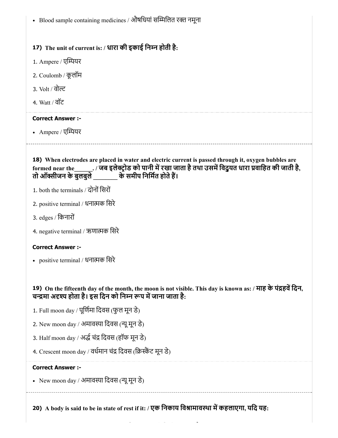• Blood sample containing medicines / औषधियां सम्मिलित रक्त नमूना

# 17) The unit of current is: / धारा की इकाई िनन होती है:

- 1. Ampere / एम्पियर
- 2. Coulomb / कूलॉम
- 3. Volt / वोट
- 4. Watt / वॉट

### Correct Answer :-

• Ampere / एम्पियर

18) When electrodes are placed in water and electric current is passed through it, oxygen bubbles are formed near the\_\_\_\_\_\_. / जब इलेक्ट्रोड को पानी में रखा जाता है तथा उसमें विदुयत धारा प्रवाहित की जाती है,<br>तो ऑक्सीजन के बुलबुले के समीप निर्मित होते हैं। के समीप निर्मित होते हैं।

- 1. both the terminals / दोनों सिरों
- 2. positive terminal / धनाक िसरे
- 3. edges / िकनारों
- 4. negative terminal / ऋणात्मक सिरे

### Correct Answer :-

positive terminal / धनाक िसरे

# 19) On the fifteenth day of the month, the moon is not visible. This day is known as: / माह के पंहविदन, चन्द्रमा अदृश्य होता है। इस दिन को निम्न रूप में जाना जाता है:

- 1. Full moon day / पूर्णिमा दिवस (फुल मून डे)
- 2. New moon day / अमावया िदवस (यूमून डे)
- 3. Half moon day / अर्द्ध चंद्र दिवस (हॉफ मून डे)
- 4. Crescent moon day / वर्धमान चंद्र दिवस (क्रिस्कैंट मून डे)

### Correct Answer :-

• New moon day / अमावस्या दिवस (न्यू मून डे)

20) A body is said to be in state of rest if it: / एक निकाय विश्रामावस्था में कहलाएगा, यदि यह: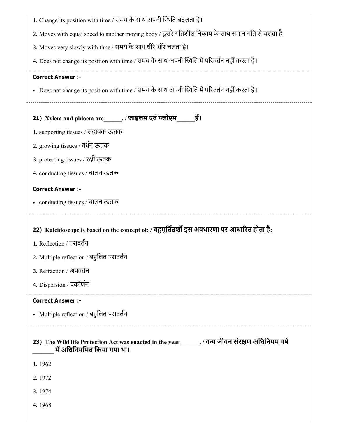| 1. Change its position with time / समय के साथ अपनी स्थिति बदलता है।                                                              |
|----------------------------------------------------------------------------------------------------------------------------------|
| 2. Moves with equal speed to another moving body / दूसरे गतिशील निकाय के साथ समान गति से चलता है।                                |
| 3. Moves very slowly with time / समय के साथ धीरे-धीरे चलता है।                                                                   |
| 4. Does not change its position with time / समय के साथ अपनी स्थिति में परिवर्तन नहीं करता है।                                    |
| <b>Correct Answer :-</b>                                                                                                         |
| • Does not change its position with time / समय के साथ अपनी स्थिति में परिवर्तन नहीं करता है।                                     |
| 21) Xylem and phloem are______./ जाइलम एवं फ्लोएम_____ हैं।                                                                      |
| 1. supporting tissues / सहायक ऊतक                                                                                                |
| 2. growing tissues / वर्धन ऊतक                                                                                                   |
| 3. protecting tissues / रक्षी ऊतक                                                                                                |
| 4. conducting tissues / चालन ऊतक                                                                                                 |
| <b>Correct Answer :-</b>                                                                                                         |
| • conducting tissues / चालन ऊतक                                                                                                  |
| 22) Kaleidoscope is based on the concept of: / बहुमूर्तिदर्शी इस अवधारणा पर आधारित होता है:<br>1. Reflection / परावर्तन          |
| 2. Multiple reflection / बहुलित परावर्तन                                                                                         |
| 3. Refraction / अपवर्तन                                                                                                          |
| 4. Dispersion / प्रकीर्णन                                                                                                        |
| <b>Correct Answer :-</b>                                                                                                         |
| • Multiple reflection / बहुलित परावर्तन                                                                                          |
| 23) The Wild life Protection Act was enacted in the year _______. / वन्य जीवन संरक्षण अधिनियम वर्ष<br>में अधिनियमित किया गया था। |
| 1.1962                                                                                                                           |
| 2.1972                                                                                                                           |
| 3.1974                                                                                                                           |
|                                                                                                                                  |
| 4.1968                                                                                                                           |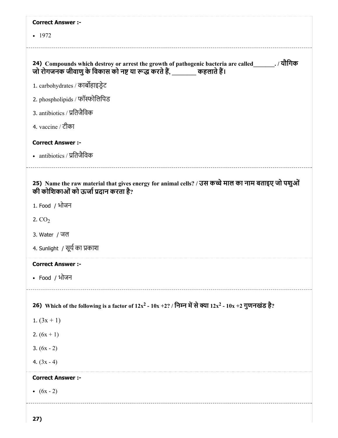| <b>Correct Answer :-</b>                                                                                                                                                       |
|--------------------------------------------------------------------------------------------------------------------------------------------------------------------------------|
| $-1972$                                                                                                                                                                        |
| 24) Compounds which destroy or arrest the growth of pathogenic bacteria are called_______. / यौगिक<br>जो रोगजनक जीवाणु के विकास को नष्ट या रूद्ध करते हैं, _______ कहलाते हैं। |
| 1. carbohydrates / कार्बोहाइड्रेट                                                                                                                                              |
| 2. phospholipids / फॉस्फोलिपिड                                                                                                                                                 |
| 3. antibiotics / प्रतिजैविक                                                                                                                                                    |
| 4. vaccine / टीका                                                                                                                                                              |
| <b>Correct Answer :-</b>                                                                                                                                                       |
| • antibiotics / प्रतिजैविक                                                                                                                                                     |
| 25) Name the raw material that gives energy for animal cells? / उस कच्चे माल का नाम बताइए जो पशुओं<br>की कोशिकाओं को ऊर्जा प्रदान करता है?                                     |
| 1. Food / भोजन                                                                                                                                                                 |
| 2. $CO2$                                                                                                                                                                       |
| 3. Water / जल                                                                                                                                                                  |
| 4. Sunlight / सूर्य का प्रकाश                                                                                                                                                  |
| <b>Correct Answer :-</b>                                                                                                                                                       |
| • Food / भोजन                                                                                                                                                                  |
| 26) Which of the following is a factor of $12x^2 - 10x + 2$ ? / निम्न में से क्या $12x^2 - 10x + 2$ गुणनखंड है?                                                                |
| 1. $(3x + 1)$                                                                                                                                                                  |
| 2. $(6x + 1)$                                                                                                                                                                  |
| 3. $(6x - 2)$                                                                                                                                                                  |
| 4. $(3x - 4)$                                                                                                                                                                  |
| <b>Correct Answer :-</b>                                                                                                                                                       |
| • $(6x - 2)$                                                                                                                                                                   |
|                                                                                                                                                                                |
| 27)                                                                                                                                                                            |

L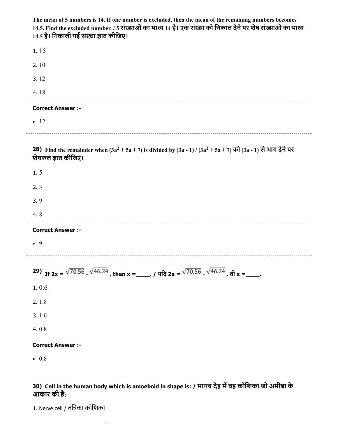| The mean of 5 numbers is 14. If one number is excluded, then the mean of the remaining numbers becomes<br>14.5. Find the excluded number. / 5 संख्याओं का माध्य 14 है। एक संख्या को निकाल देने पर शेष संख्याओं का माध्य<br>14.5 है। निकाली गई संख्या ज्ञात कीजिए। |
|-------------------------------------------------------------------------------------------------------------------------------------------------------------------------------------------------------------------------------------------------------------------|
| 1.15                                                                                                                                                                                                                                                              |
| 2.10                                                                                                                                                                                                                                                              |
| 3.12                                                                                                                                                                                                                                                              |
| 4.18                                                                                                                                                                                                                                                              |
| <b>Correct Answer :-</b>                                                                                                                                                                                                                                          |
| $\bullet$ 12                                                                                                                                                                                                                                                      |
| 28) Find the remainder when $(3a^2 + 5a + 7)$ is divided by $(3a - 1) / (3a^2 + 5a + 7)$ को $(3a - 1)$ से भाग देने पर<br>शेषफल ज्ञात कीजिए।                                                                                                                       |
| 1.5                                                                                                                                                                                                                                                               |
| 2.3                                                                                                                                                                                                                                                               |
| 3.9                                                                                                                                                                                                                                                               |
| 4.8                                                                                                                                                                                                                                                               |
|                                                                                                                                                                                                                                                                   |
| <b>Correct Answer :-</b>                                                                                                                                                                                                                                          |
| $\bullet$ 9                                                                                                                                                                                                                                                       |
| 29) If $2x = \sqrt{70.56}$ , $\sqrt{46.24}$ , then $x =$ $\ldots$ , $\sqrt{70.56}$ , $\sqrt{46.24}$ , $\frac{1}{\sqrt{70.56}}$ , $\sqrt{46.24}$ , $\frac{1}{\sqrt{70.56}}$                                                                                        |
| 1.0.6                                                                                                                                                                                                                                                             |
| 2.1.8                                                                                                                                                                                                                                                             |
| 3.1.6                                                                                                                                                                                                                                                             |
| 4.0.8                                                                                                                                                                                                                                                             |
| <b>Correct Answer :-</b>                                                                                                                                                                                                                                          |
| $\bullet$ 0.8                                                                                                                                                                                                                                                     |
|                                                                                                                                                                                                                                                                   |

1. Nerve cell / तंिका कोिशका